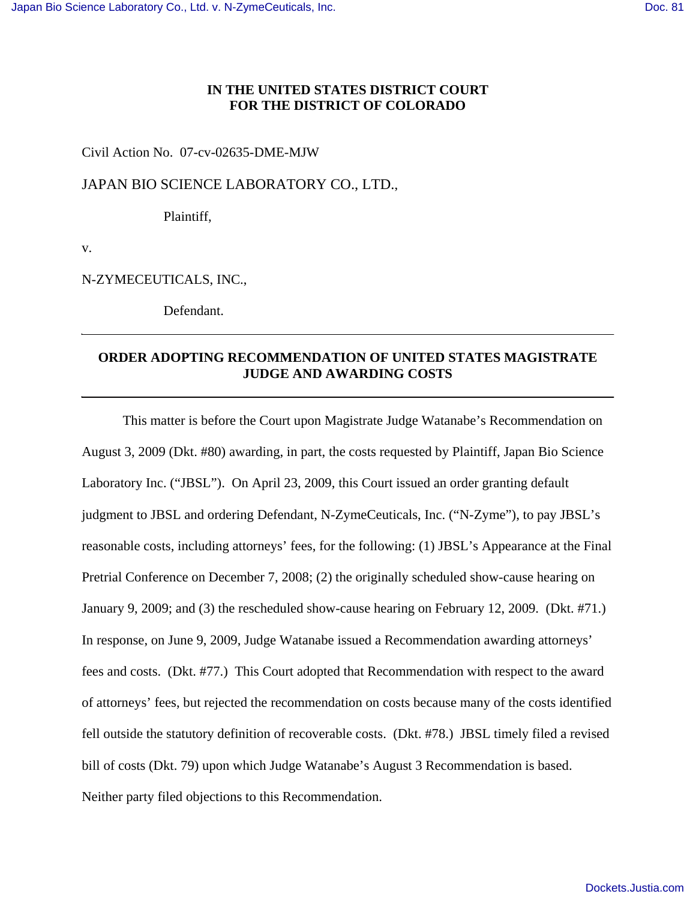## **IN THE UNITED STATES DISTRICT COURT FOR THE DISTRICT OF COLORADO**

### Civil Action No. 07-cv-02635-DME-MJW

JAPAN BIO SCIENCE LABORATORY CO., LTD.,

Plaintiff,

v.

N-ZYMECEUTICALS, INC.,

Defendant.

# **ORDER ADOPTING RECOMMENDATION OF UNITED STATES MAGISTRATE JUDGE AND AWARDING COSTS**

This matter is before the Court upon Magistrate Judge Watanabe's Recommendation on August 3, 2009 (Dkt. #80) awarding, in part, the costs requested by Plaintiff, Japan Bio Science Laboratory Inc. ("JBSL"). On April 23, 2009, this Court issued an order granting default judgment to JBSL and ordering Defendant, N-ZymeCeuticals, Inc. ("N-Zyme"), to pay JBSL's reasonable costs, including attorneys' fees, for the following: (1) JBSL's Appearance at the Final Pretrial Conference on December 7, 2008; (2) the originally scheduled show-cause hearing on January 9, 2009; and (3) the rescheduled show-cause hearing on February 12, 2009. (Dkt. #71.) In response, on June 9, 2009, Judge Watanabe issued a Recommendation awarding attorneys' fees and costs. (Dkt. #77.) This Court adopted that Recommendation with respect to the award of attorneys' fees, but rejected the recommendation on costs because many of the costs identified fell outside the statutory definition of recoverable costs. (Dkt. #78.) JBSL timely filed a revised bill of costs (Dkt. 79) upon which Judge Watanabe's August 3 Recommendation is based. Neither party filed objections to this Recommendation.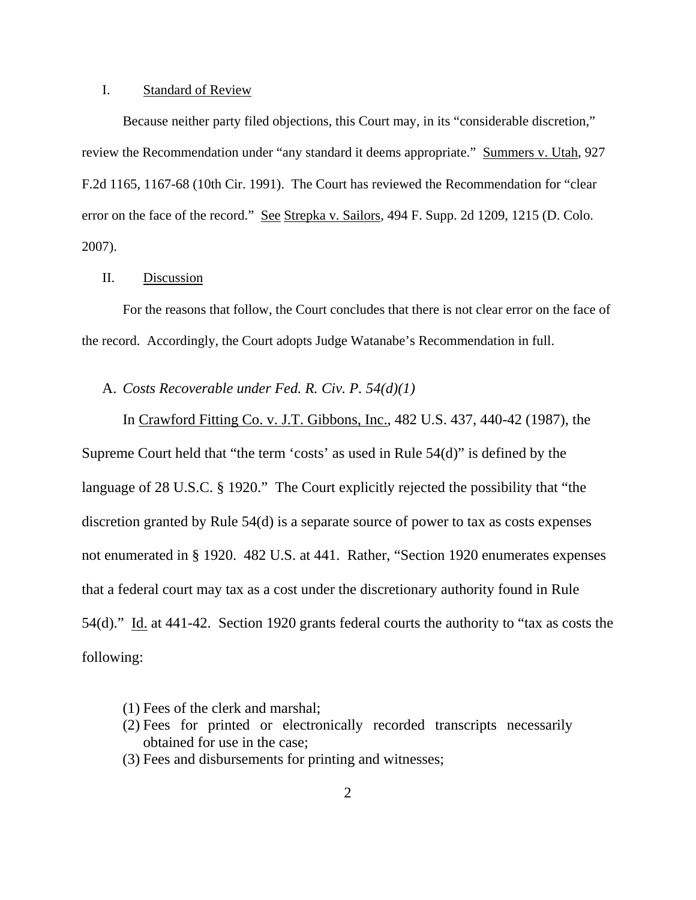#### I. Standard of Review

Because neither party filed objections, this Court may, in its "considerable discretion," review the Recommendation under "any standard it deems appropriate." Summers v. Utah, 927 F.2d 1165, 1167-68 (10th Cir. 1991). The Court has reviewed the Recommendation for "clear error on the face of the record." See Strepka v. Sailors, 494 F. Supp. 2d 1209, 1215 (D. Colo. 2007).

### II. Discussion

For the reasons that follow, the Court concludes that there is not clear error on the face of the record. Accordingly, the Court adopts Judge Watanabe's Recommendation in full.

## A. *Costs Recoverable under Fed. R. Civ. P. 54(d)(1)*

In Crawford Fitting Co. v. J.T. Gibbons, Inc., 482 U.S. 437, 440-42 (1987), the Supreme Court held that "the term 'costs' as used in Rule 54(d)" is defined by the language of 28 U.S.C. § 1920." The Court explicitly rejected the possibility that "the discretion granted by Rule 54(d) is a separate source of power to tax as costs expenses not enumerated in § 1920. 482 U.S. at 441. Rather, "Section 1920 enumerates expenses that a federal court may tax as a cost under the discretionary authority found in Rule 54(d)." Id. at 441-42. Section 1920 grants federal courts the authority to "tax as costs the following:

- (1) Fees of the clerk and marshal;
- (2) Fees for printed or electronically recorded transcripts necessarily obtained for use in the case;
- (3) Fees and disbursements for printing and witnesses;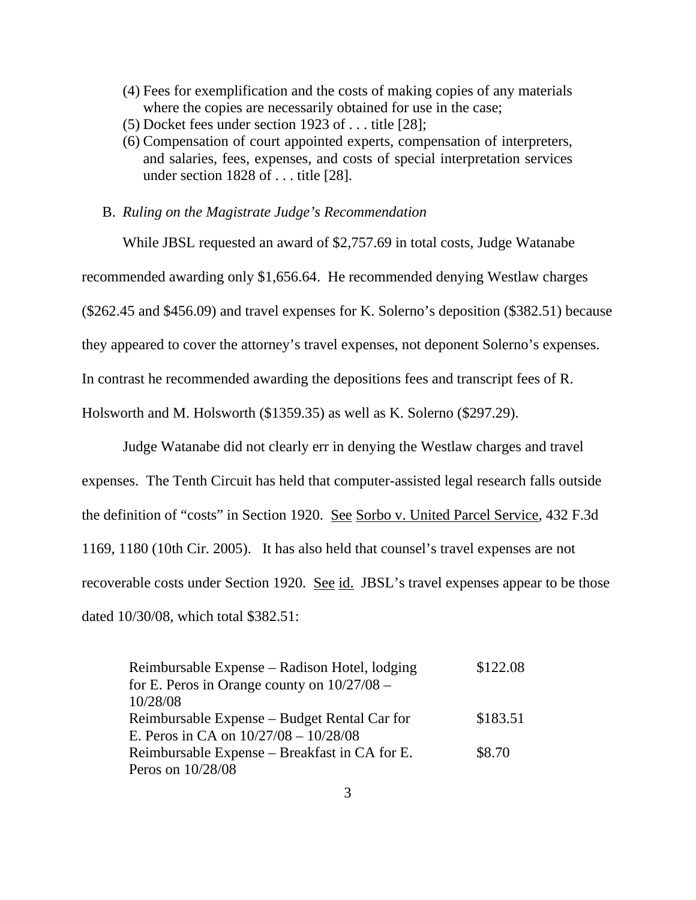- (4) Fees for exemplification and the costs of making copies of any materials where the copies are necessarily obtained for use in the case;
- (5) Docket fees under section 1923 of . . . title [28];
- (6) Compensation of court appointed experts, compensation of interpreters, and salaries, fees, expenses, and costs of special interpretation services under section 1828 of . . . title [28].

B. *Ruling on the Magistrate Judge's Recommendation*

While JBSL requested an award of \$2,757.69 in total costs, Judge Watanabe recommended awarding only \$1,656.64. He recommended denying Westlaw charges (\$262.45 and \$456.09) and travel expenses for K. Solerno's deposition (\$382.51) because they appeared to cover the attorney's travel expenses, not deponent Solerno's expenses. In contrast he recommended awarding the depositions fees and transcript fees of R.

Holsworth and M. Holsworth (\$1359.35) as well as K. Solerno (\$297.29).

Judge Watanabe did not clearly err in denying the Westlaw charges and travel expenses. The Tenth Circuit has held that computer-assisted legal research falls outside the definition of "costs" in Section 1920. See Sorbo v. United Parcel Service, 432 F.3d 1169, 1180 (10th Cir. 2005). It has also held that counsel's travel expenses are not recoverable costs under Section 1920. See id. JBSL's travel expenses appear to be those dated 10/30/08, which total \$382.51:

Reimbursable Expense – Radison Hotel, lodging for E. Peros in Orange county on 10/27/08 – 10/28/08 \$122.08 Reimbursable Expense – Budget Rental Car for E. Peros in CA on 10/27/08 – 10/28/08 \$183.51 Reimbursable Expense – Breakfast in CA for E. Peros on 10/28/08 \$8.70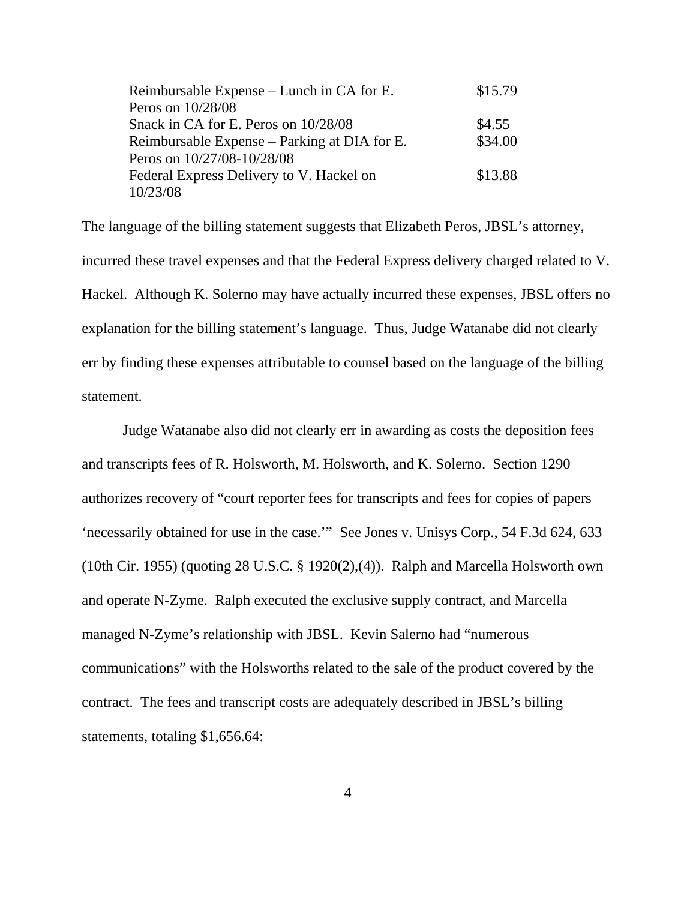| Reimbursable Expense – Lunch in CA for E.    | \$15.79 |
|----------------------------------------------|---------|
| Peros on 10/28/08                            |         |
| Snack in CA for E. Peros on 10/28/08         | \$4.55  |
| Reimbursable Expense – Parking at DIA for E. | \$34.00 |
| Peros on 10/27/08-10/28/08                   |         |
| Federal Express Delivery to V. Hackel on     | \$13.88 |
| 10/23/08                                     |         |

The language of the billing statement suggests that Elizabeth Peros, JBSL's attorney, incurred these travel expenses and that the Federal Express delivery charged related to V. Hackel. Although K. Solerno may have actually incurred these expenses, JBSL offers no explanation for the billing statement's language. Thus, Judge Watanabe did not clearly err by finding these expenses attributable to counsel based on the language of the billing statement.

Judge Watanabe also did not clearly err in awarding as costs the deposition fees and transcripts fees of R. Holsworth, M. Holsworth, and K. Solerno. Section 1290 authorizes recovery of "court reporter fees for transcripts and fees for copies of papers 'necessarily obtained for use in the case.'" See Jones v. Unisys Corp., 54 F.3d 624, 633 (10th Cir. 1955) (quoting 28 U.S.C. § 1920(2),(4)). Ralph and Marcella Holsworth own and operate N-Zyme. Ralph executed the exclusive supply contract, and Marcella managed N-Zyme's relationship with JBSL. Kevin Salerno had "numerous communications" with the Holsworths related to the sale of the product covered by the contract. The fees and transcript costs are adequately described in JBSL's billing statements, totaling \$1,656.64: